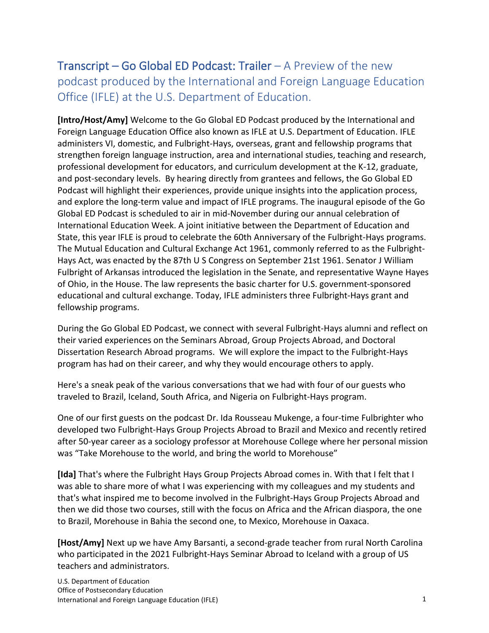## Transcript – Go Global ED Podcast: Trailer – A Preview of the new podcast produced by the International and Foreign Language Education Office (IFLE) at the U.S. Department of Education.

**[Intro/Host/Amy]** Welcome to the Go Global ED Podcast produced by the International and Foreign Language Education Office also known as IFLE at U.S. Department of Education. IFLE administers VI, domestic, and Fulbright-Hays, overseas, grant and fellowship programs that strengthen foreign language instruction, area and international studies, teaching and research, professional development for educators, and curriculum development at the K-12, graduate, and post-secondary levels. By hearing directly from grantees and fellows, the Go Global ED Podcast will highlight their experiences, provide unique insights into the application process, and explore the long-term value and impact of IFLE programs. The inaugural episode of the Go Global ED Podcast is scheduled to air in mid-November during our annual celebration of International Education Week. A joint initiative between the Department of Education and State, this year IFLE is proud to celebrate the 60th Anniversary of the Fulbright-Hays programs. The Mutual Education and Cultural Exchange Act 1961, commonly referred to as the Fulbright-Hays Act, was enacted by the 87th U S Congress on September 21st 1961. Senator J William Fulbright of Arkansas introduced the legislation in the Senate, and representative Wayne Hayes of Ohio, in the House. The law represents the basic charter for U.S. government-sponsored educational and cultural exchange. Today, IFLE administers three Fulbright-Hays grant and fellowship programs.

During the Go Global ED Podcast, we connect with several Fulbright-Hays alumni and reflect on their varied experiences on the Seminars Abroad, Group Projects Abroad, and Doctoral Dissertation Research Abroad programs. We will explore the impact to the Fulbright-Hays program has had on their career, and why they would encourage others to apply.

Here's a sneak peak of the various conversations that we had with four of our guests who traveled to Brazil, Iceland, South Africa, and Nigeria on Fulbright-Hays program.

One of our first guests on the podcast Dr. Ida Rousseau Mukenge, a four-time Fulbrighter who developed two Fulbright-Hays Group Projects Abroad to Brazil and Mexico and recently retired after 50-year career as a sociology professor at Morehouse College where her personal mission was "Take Morehouse to the world, and bring the world to Morehouse"

**[Ida]** That's where the Fulbright Hays Group Projects Abroad comes in. With that I felt that I was able to share more of what I was experiencing with my colleagues and my students and that's what inspired me to become involved in the Fulbright-Hays Group Projects Abroad and then we did those two courses, still with the focus on Africa and the African diaspora, the one to Brazil, Morehouse in Bahia the second one, to Mexico, Morehouse in Oaxaca.

**[Host/Amy]** Next up we have Amy Barsanti, a second-grade teacher from rural North Carolina who participated in the 2021 Fulbright-Hays Seminar Abroad to Iceland with a group of US teachers and administrators.